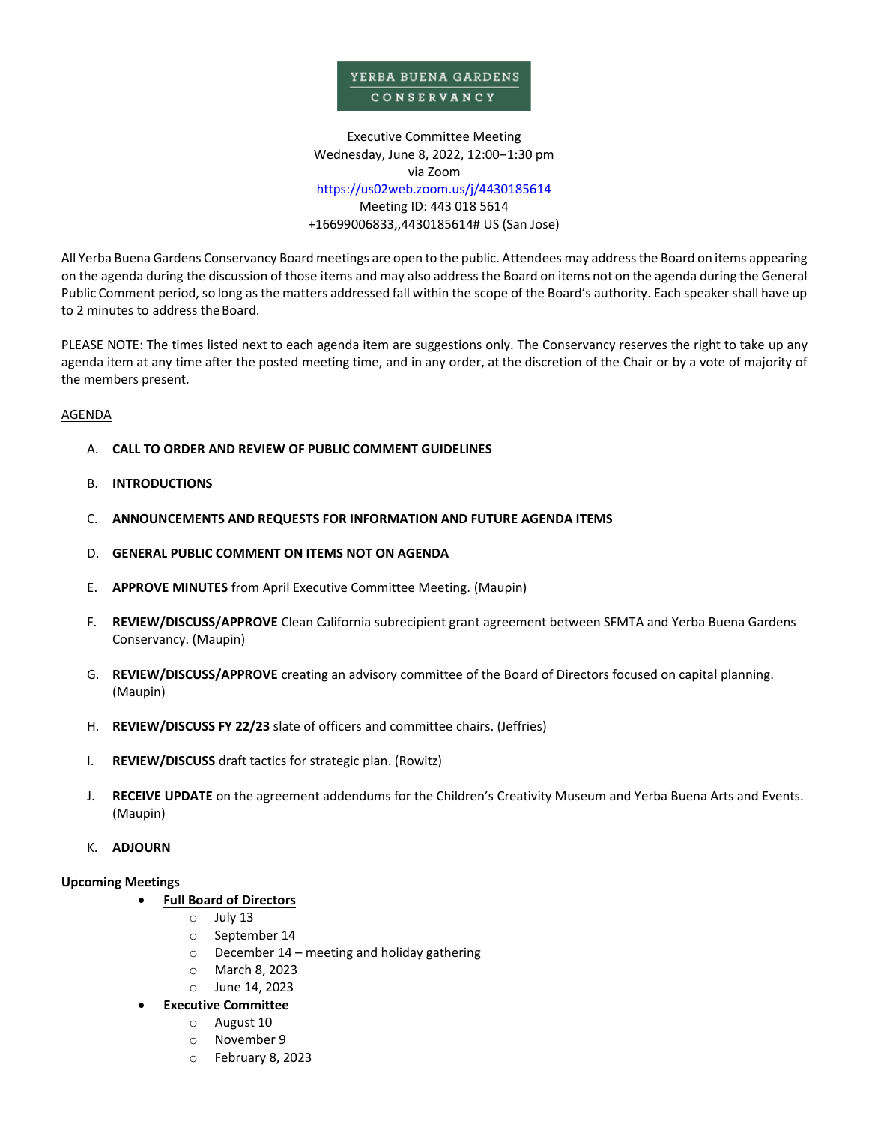## YERBA BUENA GARDENS CONSERVANCY

Executive Committee Meeting Wednesday, June 8, 2022, 12:00–1:30 pm via Zoom <https://us02web.zoom.us/j/4430185614> Meeting ID: 443 018 5614 +16699006833,,4430185614# US (San Jose)

All Yerba Buena Gardens Conservancy Board meetings are open to the public. Attendees may address the Board on items appearing on the agenda during the discussion of those items and may also address the Board on items not on the agenda during the General Public Comment period, so long as the matters addressed fall within the scope of the Board's authority. Each speaker shall have up to 2 minutes to address the Board.

PLEASE NOTE: The times listed next to each agenda item are suggestions only. The Conservancy reserves the right to take up any agenda item at any time after the posted meeting time, and in any order, at the discretion of the Chair or by a vote of majority of the members present.

### AGENDA

- A. **CALL TO ORDER AND REVIEW OF PUBLIC COMMENT GUIDELINES**
- B. **INTRODUCTIONS**
- C. **ANNOUNCEMENTS AND REQUESTS FOR INFORMATION AND FUTURE AGENDA ITEMS**
- D. **GENERAL PUBLIC COMMENT ON ITEMS NOT ON AGENDA**
- E. **APPROVE MINUTES** from April Executive Committee Meeting. (Maupin)
- F. **REVIEW/DISCUSS/APPROVE** Clean California subrecipient grant agreement between SFMTA and Yerba Buena Gardens Conservancy. (Maupin)
- G. **REVIEW/DISCUSS/APPROVE** creating an advisory committee of the Board of Directors focused on capital planning. (Maupin)
- H. **REVIEW/DISCUSS FY 22/23** slate of officers and committee chairs. (Jeffries)
- I. **REVIEW/DISCUSS** draft tactics for strategic plan. (Rowitz)
- J. **RECEIVE UPDATE** on the agreement addendums for the Children's Creativity Museum and Yerba Buena Arts and Events. (Maupin)
- K. **ADJOURN**

#### **Upcoming Meetings**

- **Full Board of Directors**
	- o July 13
	- o September 14
	- o December 14 meeting and holiday gathering
	- o March 8, 2023
	- o June 14, 2023
	- **Executive Committee**
		- o August 10
		- o November 9
		- o February 8, 2023